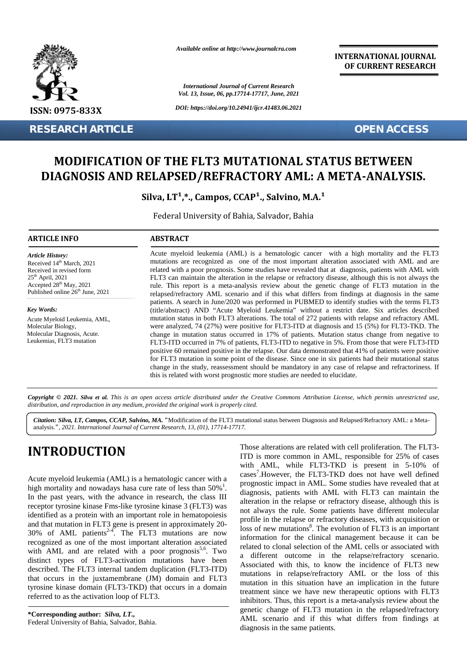

**RESEARCH ARTICLE OPEN ACCESS**

*Available online at http://www.journalcra.com*

*International Journal of Current Research Vol. 13, Issue, 06, pp.17714-17717, June, 2021*

*DOI: https://doi.org/10.24941/ijcr.41483.06.2021*

**INTERNATIONAL JOURNAL OF CURRENT RESEARCH**

## **MODIFICATION OF THE FLT3 MUTATIONAL STATUS BETWEEN** MODIFICATION OF THE FLT3 MUTATIONAL STATUS BETWEEN<br>DIAGNOSIS AND RELAPSED/REFRACTORY AML: A META-ANALYSIS.

Silva, LT<sup>1</sup>,\*., Campos, CCAP<sup>1</sup>., Salvino, M.A.<sup>1</sup>

Federal University of Bahia, Salvador, Bahia Bahia, Salvador,

#### **ARTICLE INFO ABSTRACT ARTICLE ABSTRACT**

*Article History:* Received  $14<sup>th</sup>$  March, 2021 Received 14<sup>--</sup> March, 2021<br>Received in revised form<br>25<sup>th</sup> April, 2021<br>Accepted 28<sup>th</sup> May, 2021 25<sup>th</sup> April, 2021 Accepted 28<sup>th</sup> May, 2021 Published online 26<sup>th</sup> June, 2021 **MODIFICA<br>
MODIFICA<br>
DIAGNOSIS**<br> **ARTICLE INFO<br>
ARTICLE INFO<br>
Article History:**<br>
Received 14<sup>th</sup> March, 2021<br>
Accepted 28<sup>th</sup> May, 2021<br>
Accepted 28<sup>th</sup> May, 2021<br>
Published online 26<sup>th</sup> June, 2021<br>
Published online 26<sup>th</sup>

*Key Words:* Acute Myeloid Leukemia, AML, Molecular Biology, Molecular Diagnosis, Acute. Leukemias, FLT3 mutation

Acute myeloid leukemia (AML) is a hematologic cancer with a high mortality and the FLT3 mutations are recognized as one of the most important alteration associated with AML and are mutations are recognized as one of the most important alteration associated with AML and are related with a poor prognosis. Some studies have revealed that at diagnosis, patients with AML with FLT3 can maintain the alteration in the relapse or refractory disease, although this is not always the rule. This report is a meta-analysis review about the genetic change of FLT3 mutation in the relapsed/refractory AML scenario and if this what differs from findings at diagnosis in the same FLT3 can maintain the alteration in the relapse or refractory disease, although this is not always the rule. This report is a meta-analysis review about the genetic change of FLT3 mutation in the relapsed/refractory AML sc (title/abstract) AND "Acute Myeloid Leukemia" without a restrict date. Six articles described mutation status in both FLT3 alterations. The total of 272 patients with relapse and refractory AML were analyzed, 74 (27%) were positive for FLT3-ITD at diagnosis and 15 (5%) for FLT3-TKD. The change in mutation status occurred in 17% of patients. Mutation status change from negative to FLT3-ITD occurred in 7% of patients, FLT3-ITD to negative in 5%. From those that were FLT3-ITD positive 60 remained positive in the relapse. Our data demonstrated that 41% of patients were positive for FLT3 mutation in some point of the disease. Since one in six patients had their mutational status change in the study, reassessment should be mandatory in any case of relapse and refractoriness. If this is related with worst prognostic more studies are needed to elucidate. mutation status in both FLT3 alterations. The total of 272 patients with relapse and refractory AML were analyzed, 74 (27%) were positive for FLT3-ITD at diagnosis and 15 (5%) for FLT3-ITD. The change in mutation status oc positive 60 remained positive in the relapse. Our data demonstrated that 41% of patients were positive for FLT3 mutation in some point of the disease. Since one in six patients had their mutational stat change in the study FIGURE 1983<br>
The three states from **International Control Figure 2** and the state of **International COV COV**<br> **INTEGRETION OF THE FLT3 MUTATIONAL STATUS BETWEEN CORRECT AND THE CONTROL CONTROL CONTROL CONTROL CONTROL CO** *CCAP, Words:*<br> *CCAP, Sarence Myeloid Leukemia, AML*, (ittle/abstract) AND "Actue Myeloid Leukemia" without a restrict date. Six article also:<br> *CCAP (ittle/abstract)* AND "Actue Myeloid Leukemia" without a restrict date.

Copyright © 2021. Silva et al. This is an open access article distributed under the Creative Commons Attribution License, which permits unrestricted use, **Copyright** © 2021. Silva et al. This is an open access article distributed under the Creativ<br>distribution, and reproduction in any medium, provided the original work is properly cited.

*Citation: Silva, LT, Campos, CCAP, Salvino, MA. "*Modification of the FLT3 mutational status between Diagnosis and Relapsed/Refractory AML: a Meta analysis.*", 2021. International Journal of Current Research, 13, (01), 17714-17717.*

# **INTRODUCTION INTRODUCTION**

Acute myeloid leukemia (AML) is a hematologic cancer with a<br>high mortality and nowadays hasa cure rate of less than  $50\%$ <sup>1</sup>. The whigh the past years, with the advance in research, the class III high mortality and nowadays hasa cure rate of less than  $50\%$ <sup>1</sup>. In the past years, with the advance in research, the class III receptor tyrosine kinase Fms-like tyrosine kinase 3 (FLT3) was identified as a protein with an important role in hematopoiesis and that mutation in FLT3 gene is present in approximately  $20 - \frac{1}{10}$ receptor tyrosine kinase Fms-like tyrosine kinase 3 (FLT3) was<br>identified as a protein with an important role in hematopoiesis<br>and that mutation in FLT3 gene is present in approximately 20-<br>30% of AML patients<sup>2-4</sup>. The FL recognized as one of the most important alteration associated with AML and are related with a poor prognosis<sup>5,6</sup>. Two distinct types of FLT3-activation mutations have been<br>described. The FLT3 internal tandem duplication (FLT3-ITD)<br>that occurs in a HLT3<br>tyrosine kinase domain (FLT3-TKD) that occurs in a domain<br>referred to as the activation described. The FLT3 internal tandem duplication (FLT3-ITD) that occurs in the juxtamembrane (JM) domain and FLT3 tyrosine kinase domain (FLT3-TKD) that occurs in a domain referred to as the activation loop of FLT3. 30% of AML patients<sup>2-4</sup>. The FLT3 mutations are now recognized as one of the most important alteration associated with AML and are related with a poor prognosis<sup>5,6</sup>. Two

**\*Corresponding author:** *Silva, LT.,* **\*Corresponding** Federal University of Bahia, Salvador, Bahia.

Those alterations are related with cell proliferation. The FLT3- ITD is more common in AML, responsible for 25% of cases with AML, while FLT3-TKD is present in 5-10% of cases<sup>7</sup>. However, the FLT3-TKD does not have well defined prognostic impact in AML. Some studies have revealed that at diagnosis, patients with AML with FLT3 can maintain the alteration in the relapse or refractory disease, although this is not always the rule. Some patients have different molecular profile in the relapse or refractory diseases, with acquisition or loss of new mutations<sup>8</sup>. The evolution of FLT3 is an important information for the clinical management because it can be related to clonal selection of the AML cells or associated with a different outcome in the relapse/refractory scenario. Associated with this, to know the incidence of FLT3 new mutations in relapse/refractory AML or the loss of this mutation in this situation have an implication in the future treatment since we have new therapeutic options with FLT3 inhibitors. Thus, this report is a meta-analysis review about the genetic change of FLT3 mutation in the relapsed/refractory AML scenario and if this what differs from findings at diagnosis in the same patients. **INTRODUCTION**<br>
From a most common in AML, while FLT3-TKD is reacted with cell proliferation. The<br>
with  $\mu$ ML, while FLT3-TKD is resear in 5-10<br>
Neute myeloid leukemia (AML) is a hematologic cancer with a<br>
implanemiating is of new mutations<sup>8</sup>. The evolution of FLT3 is an important<br>ormation for the clinical management because it can be<br>teed to clonal selection of the AML cells or associated with<br>different outcome in the relapse/refractory ated with this, to know the<br>ons in relapse/refractory AN<br>on in this situation have an<br>ent since we have new therap<br>ors. Thus, this report is a meta<br>change of FLT3 mutation<br>scenario and if this what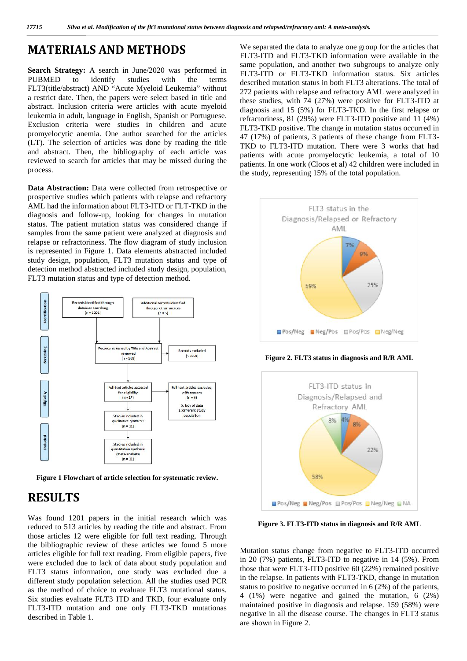#### **MATERIALS AND METHODS**

**Search Strategy:** A search in June/2020 was performed in PUBMED to identify studies with the terms FLT3(title/abstract) AND "Acute Myeloid Leukemia" without a restrict date. Then, the papers were select based in title and abstract. Inclusion criteria were articles with acute myeloid leukemia in adult, language in English, Spanish or Portuguese. Exclusion criteria were studies in children and acute promyelocytic anemia. One author searched for the articles (LT). The selection of articles was done by reading the title and abstract. Then, the bibliography of each article was reviewed to search for articles that may be missed during the process.

**Data Abstraction:** Data were collected from retrospective or prospective studies which patients with relapse and refractory AML had the information about FLT3-ITD or FLT-TKD in the diagnosis and follow-up, looking for changes in mutation status. The patient mutation status was considered change if samples from the same patient were analyzed at diagnosis and relapse or refractoriness. The flow diagram of study inclusion is represented in Figure 1. Data elements abstracted included study design, population, FLT3 mutation status and type of detection method abstracted included study design, population, FLT3 mutation status and type of detection method.



**Figure 1 Flowchart of article selection for systematic review.**

## **RESULTS**

Was found 1201 papers in the initial research which was reduced to 513 articles by reading the title and abstract. From those articles 12 were eligible for full text reading. Through the bibliographic review of these articles we found 5 more articles eligible for full text reading. From eligible papers, five were excluded due to lack of data about study population and FLT3 status information, one study was excluded due a different study population selection. All the studies used PCR as the method of choice to evaluate FLT3 mutational status. Six studies evaluate FLT3 ITD and TKD, four evaluate only FLT3-ITD mutation and one only FLT3-TKD mutationas described in Table 1.

We separated the data to analyze one group for the articles that FLT3-ITD and FLT3-TKD information were available in the same population, and another two subgroups to analyze only FLT3-ITD or FLT3-TKD information status. Six articles described mutation status in both FLT3 alterations. The total of 272 patients with relapse and refractory AML were analyzed in these studies, with 74 (27%) were positive for FLT3-ITD at diagnosis and 15 (5%) for FLT3-TKD. In the first relapse or refractoriness, 81 (29%) were FLT3-ITD positive and 11 (4%) FLT3-TKD positive. The change in mutation status occurred in 47 (17%) of patients, 3 patients of these change from FLT3- TKD to FLT3-ITD mutation. There were 3 works that had patients with acute promyelocytic leukemia, a total of 10 patients. In one work (Cloos et al) 42 children were included in the study, representing 15% of the total population.



**Figure 2. FLT3 status in diagnosis and R/R AML**



**Figure 3. FLT3-ITD status in diagnosis and R/R AML**

Mutation status change from negative to FLT3-ITD occurred in 20 (7%) patients, FLT3-ITD to negative in 14 (5%). From those that were FLT3-ITD positive 60 (22%) remained positive in the relapse. In patients with FLT3-TKD, change in mutation status to positive to negative occurred in 6 (2%) of the patients, 4 (1%) were negative and gained the mutation, 6 (2%) maintained positive in diagnosis and relapse. 159 (58%) were negative in all the disease course. The changes in FLT3 status are shown in Figure 2.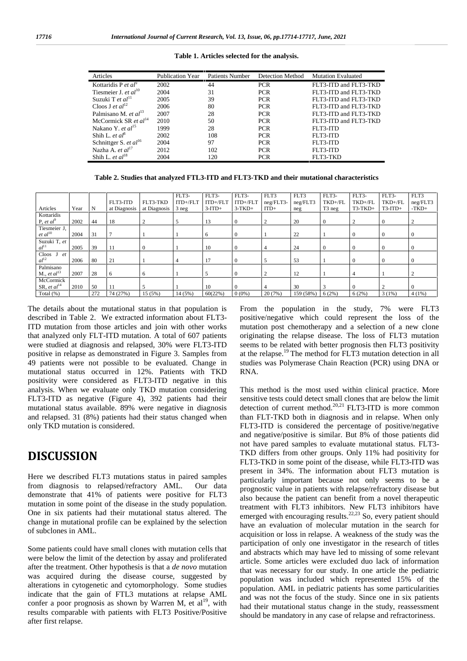| Articles                             | <b>Publication Year</b> | <b>Patients Number</b> | Detection Method | <b>Mutation Evaluated</b> |
|--------------------------------------|-------------------------|------------------------|------------------|---------------------------|
| Kottaridis P et $al^9$               | 2002                    | 44                     | <b>PCR</b>       | FLT3-ITD and FLT3-TKD     |
| Tiesmeier J. et $al^{10}$            | 2004                    | 31                     | <b>PCR</b>       | FLT3-ITD and FLT3-TKD     |
| Suzuki T et $al11$                   | 2005                    | 39                     | <b>PCR</b>       | FLT3-ITD and FLT3-TKD     |
| Cloos J et $al^{12}$                 | 2006                    | 80                     | <b>PCR</b>       | FLT3-ITD and FLT3-TKD     |
| Palmisano M. et $al^{13}$            | 2007                    | 28                     | <b>PCR</b>       | FLT3-ITD and FLT3-TKD     |
| McCormick SR et $al14$               | 2010                    | 50                     | <b>PCR</b>       | FLT3-ITD and FLT3-TKD     |
| Nakano Y. <i>et al</i> <sup>15</sup> | 1999                    | 28                     | <b>PCR</b>       | FLT3-ITD                  |
| Shih L. et $al^8$                    | 2002                    | 108                    | <b>PCR</b>       | FLT3-ITD                  |
| Schnittger S. et $al^{16}$           | 2004                    | 97                     | <b>PCR</b>       | FLT3-ITD                  |
| Nazha A. et $al^{17}$                | 2012                    | 102                    | <b>PCR</b>       | FLT3-ITD                  |
| Shih L. et $al^{18}$                 | 2004                    | 120                    | <b>PCR</b>       | FLT3-TKD                  |

**Table 1. Articles selected for the analysis.**

**Table 2. Studies that analyzed FTL3-ITD and FLT3-TKD and their mutational characteristics**

|                                   |      |     |              |              | FLT3-      | FLT3-      | FLT3-      | FLT3      | FLT3      | FLT3-              | FLT3-        | FLT3-          | FLT3             |
|-----------------------------------|------|-----|--------------|--------------|------------|------------|------------|-----------|-----------|--------------------|--------------|----------------|------------------|
|                                   |      |     | FLT3-ITD     | FLT3-TKD     | $ITD+/FLT$ | $ITD+/FLT$ | $ITD+/FLT$ | neg/FLT3- | neg/FLT3  | TKD+/FL            | TKD+/FL      | TKD+/FL        | neg/FLT3         |
| Articles                          | Year | N   | at Diagnosis | at Diagnosis | 3neg       | $3$ -ITD+  | $3-TKD+$   | $ITD+$    | neg       | T <sub>3</sub> neg | $T3-TKD+$    | $T3-TID+$      | $-TKD+$          |
| Kottaridis                        |      |     |              |              |            |            |            |           |           |                    |              |                |                  |
| P, et $al^9$                      | 2002 | 44  | 18           |              |            | 13         | $\theta$   | 2         | 20        | $\overline{0}$     | 2            | $\theta$       |                  |
| Tiesmeier J,                      |      |     |              |              |            |            |            |           |           |                    |              |                |                  |
| $et$ $al10$                       | 2004 | 31  |              |              |            | 6          | v          |           | 22        |                    | $\mathbf{0}$ | $\theta$       | $\boldsymbol{0}$ |
| Suzuki T, et                      |      |     |              |              |            |            |            |           |           |                    |              |                |                  |
| al <sup>11</sup>                  | 2005 | 39  | 11           | $\theta$     |            | 10         | 0          | 4         | 24        | $\overline{0}$     | 0            | $\theta$       | $\boldsymbol{0}$ |
| Cloos<br>et                       |      |     |              |              |            |            |            |           |           |                    |              |                |                  |
| al <sup>12</sup>                  | 2006 | 80  | 21           |              | 4          | 17         | v          |           | 53        |                    | 0            | $\theta$       | $\mathbf{0}$     |
| Palmisano                         |      |     |              |              |            |            |            |           |           |                    |              |                |                  |
| $M_{\cdot}$ , et al <sup>13</sup> | 2007 | 28  | 6            | <sub>0</sub> |            |            |            |           | 12        |                    |              |                |                  |
| McCormick                         |      |     |              |              |            |            |            |           |           |                    |              |                |                  |
| SR, et $al^{14}$                  | 2010 | 50  |              |              |            | 10         |            |           | 30        |                    |              | $\overline{2}$ | $\Omega$         |
| Total $(\%)$                      |      | 272 | 74 (27%)     | 15(5%)       | 14 (5%)    | 60(22%)    | $0(0\%)$   | 20(7%)    | 159 (58%) | 6(2%)              | 6(2%)        | 3(1%)          | 4(1%)            |

The details about the mutational status in that population is described in Table 2. We extracted information about FLT3- ITD mutation from those articles and join with other works that analyzed only FLT-ITD mutation. A total of 607 patients were studied at diagnosis and relapsed, 30% were FLT3-ITD positive in relapse as demonstrated in Figure 3. Samples from 49 patients were not possible to be evaluated. Change in mutational status occurred in 12%. Patients with TKD positivity were considered as FLT3-ITD negative in this analysis. When we evaluate only TKD mutation considering FLT3-ITD as negative (Figure 4), 392 patients had their mutational status available. 89% were negative in diagnosis and relapsed. 31 (8%) patients had their status changed when only TKD mutation is considered.

### **DISCUSSION**

Here we described FLT3 mutations status in paired samples from diagnosis to relapsed/refractory AML. Our data demonstrate that 41% of patients were positive for FLT3 mutation in some point of the disease in the study population. One in six patients had their mutational status altered. The change in mutational profile can be explained by the selection of subclones in AML.

Some patients could have small clones with mutation cells that were below the limit of the detection by assay and proliferated after the treatment. Other hypothesis is that a *de novo* mutation was acquired during the disease course, suggested by alterations in cytogenetic and cytomorphology. Some studies indicate that the gain of FTL3 mutations at relapse AML confer a poor prognosis as shown by Warren M, et  $al^{19}$ , with results comparable with patients with FLT3 Positive/Positive after first relapse.

From the population in the study, 7% were FLT3 positive/negative which could represent the loss of the mutation post chemotherapy and a selection of a new clone originating the relapse disease. The loss of FLT3 mutation seems to be related with better prognosis then FLT3 positivity at the relapse.<sup>19</sup> The method for FLT3 mutation detection in all studies was Polymerase Chain Reaction (PCR) using DNA or RNA.

This method is the most used within clinical practice. More sensitive tests could detect small clones that are below the limit detection of current method.<sup>20,21</sup> FLT3-ITD is more common than FLT-TKD both in diagnosis and in relapse. When only FLT3-ITD is considered the percentage of positive/negative and negative/positive is similar. But 8% of those patients did not have pared samples to evaluate mutational status. FLT3- TKD differs from other groups. Only 11% had positivity for FLT3-TKD in some point of the disease, while FLT3-ITD was present in 34%. The information about FLT3 mutation is particularly important because not only seems to be a prognostic value in patients with relapse/refractory disease but also because the patient can benefit from a novel therapeutic treatment with FLT3 inhibitors. New FLT3 inhibitors have emerged with encouraging results.<sup>22,23</sup> So, every patient should have an evaluation of molecular mutation in the search for acquisition or loss in relapse. A weakness of the study was the participation of only one investigator in the research of titles and abstracts which may have led to missing of some relevant article. Some articles were excluded duo lack of information that was necessary for our study. In one article the pediatric population was included which represented 15% of the population. AML in pediatric patients has some particularities and was not the focus of the study. Since one in six patients had their mutational status change in the study, reassessment should be mandatory in any case of relapse and refractoriness.